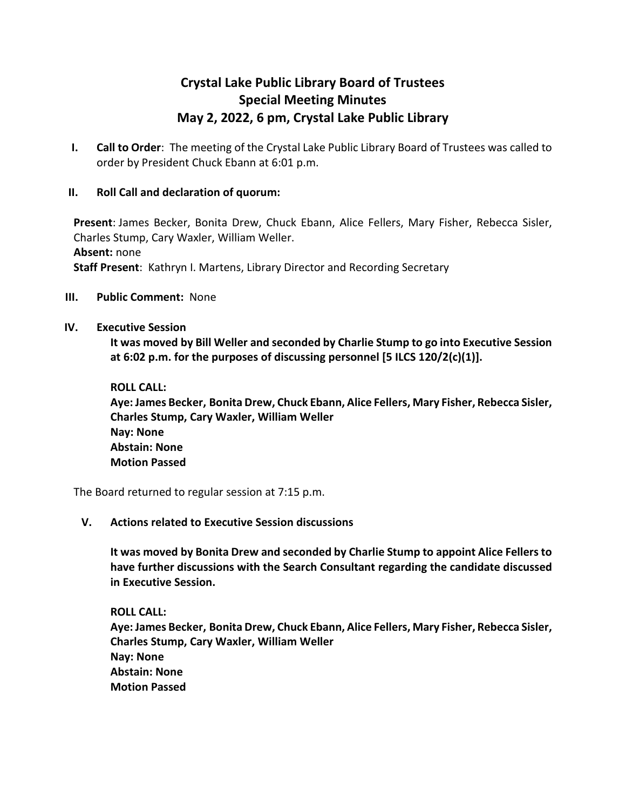## **Crystal Lake Public Library Board of Trustees Special Meeting Minutes May 2, 2022, 6 pm, Crystal Lake Public Library**

**I. Call to Order**: The meeting of the Crystal Lake Public Library Board of Trustees was called to order by President Chuck Ebann at 6:01 p.m.

## **II. Roll Call and declaration of quorum:**

**Present**: James Becker, Bonita Drew, Chuck Ebann, Alice Fellers, Mary Fisher, Rebecca Sisler, Charles Stump, Cary Waxler, William Weller. **Absent:** none **Staff Present**: Kathryn I. Martens, Library Director and Recording Secretary

**III. Public Comment:** None

## **IV. Executive Session**

**It was moved by Bill Weller and seconded by Charlie Stump to go into Executive Session at 6:02 p.m. for the purposes of discussing personnel [5 ILCS 120/2(c)(1)].**

**ROLL CALL:**

**Aye: James Becker, Bonita Drew, Chuck Ebann, Alice Fellers, Mary Fisher, Rebecca Sisler, Charles Stump, Cary Waxler, William Weller Nay: None Abstain: None Motion Passed**

The Board returned to regular session at 7:15 p.m.

## **V. Actions related to Executive Session discussions**

**It was moved by Bonita Drew and seconded by Charlie Stump to appoint Alice Fellers to have further discussions with the Search Consultant regarding the candidate discussed in Executive Session.**

**ROLL CALL: Aye: James Becker, Bonita Drew, Chuck Ebann, Alice Fellers, Mary Fisher, Rebecca Sisler, Charles Stump, Cary Waxler, William Weller Nay: None Abstain: None Motion Passed**